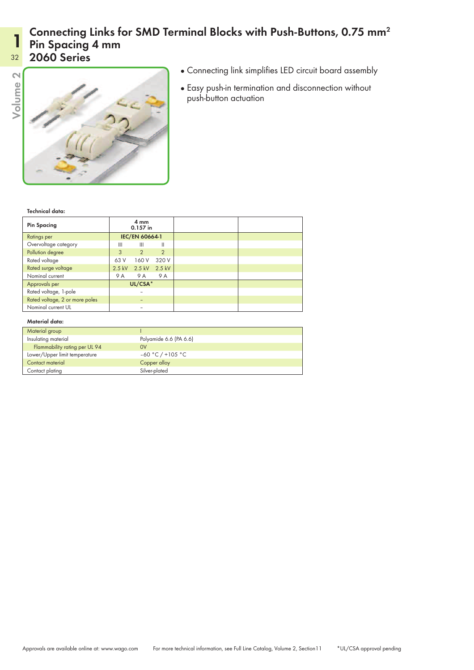## Connecting Links for SMD Terminal Blocks with Push-Buttons, 0.75 mm<sup>2</sup> Pin Spacing 4 mm

## 32 2060 Series

1



- Connecting link simplifies LED circuit board assembly
- Easy push-in termination and disconnection without push-button actuation

Technical data:

| <b>Pin Spacing</b>             | 4 mm<br>0.157 in |                |               |  |  |  |
|--------------------------------|------------------|----------------|---------------|--|--|--|
| Ratings per                    | IEC/EN 60664-1   |                |               |  |  |  |
| Overvoltage category           | Ш                | Ш              | Ш             |  |  |  |
| Pollution degree               | 3                | $\overline{2}$ | $\mathcal{P}$ |  |  |  |
| Rated voltage                  | 63 V             | 160 V          | 320 V         |  |  |  |
| Rated surge voltage            | $2.5$ kV         | 2.5 kV         | 2.5 kV        |  |  |  |
| Nominal current                | 9 A              | 9 A            | 9 A           |  |  |  |
| Approvals per                  | UL/CSA*          |                |               |  |  |  |
| Rated voltage, 1-pole          |                  |                |               |  |  |  |
| Rated voltage, 2 or more poles |                  |                |               |  |  |  |
| Nominal current UL             |                  |                |               |  |  |  |

## Material data:

| Material group                |                        |
|-------------------------------|------------------------|
| Insulating material           | Polyamide 6.6 (PA 6.6) |
| Flammability rating per UL 94 | 0V                     |
| Lower/Upper limit temperature | $-60 °C$ / +105 °C     |
| Contact material              | Copper alloy           |
| Contact plating               | Silver-plated          |